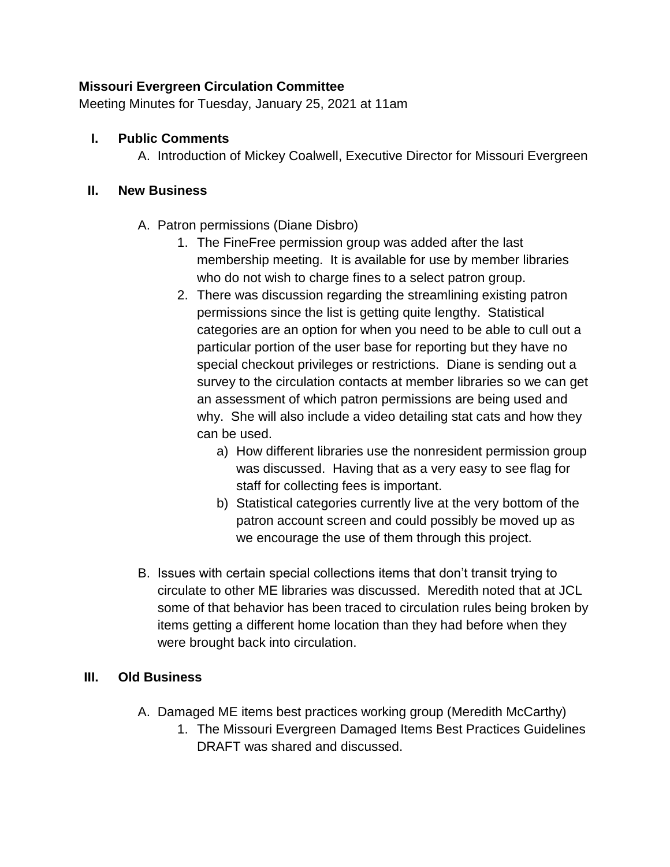### **Missouri Evergreen Circulation Committee**

Meeting Minutes for Tuesday, January 25, 2021 at 11am

#### **I. Public Comments**

A. Introduction of Mickey Coalwell, Executive Director for Missouri Evergreen

#### **II. New Business**

- A. Patron permissions (Diane Disbro)
	- 1. The FineFree permission group was added after the last membership meeting. It is available for use by member libraries who do not wish to charge fines to a select patron group.
	- 2. There was discussion regarding the streamlining existing patron permissions since the list is getting quite lengthy. Statistical categories are an option for when you need to be able to cull out a particular portion of the user base for reporting but they have no special checkout privileges or restrictions. Diane is sending out a survey to the circulation contacts at member libraries so we can get an assessment of which patron permissions are being used and why. She will also include a video detailing stat cats and how they can be used.
		- a) How different libraries use the nonresident permission group was discussed. Having that as a very easy to see flag for staff for collecting fees is important.
		- b) Statistical categories currently live at the very bottom of the patron account screen and could possibly be moved up as we encourage the use of them through this project.
- B. Issues with certain special collections items that don't transit trying to circulate to other ME libraries was discussed. Meredith noted that at JCL some of that behavior has been traced to circulation rules being broken by items getting a different home location than they had before when they were brought back into circulation.

### **III. Old Business**

- A. Damaged ME items best practices working group (Meredith McCarthy)
	- 1. The Missouri Evergreen Damaged Items Best Practices Guidelines DRAFT was shared and discussed.